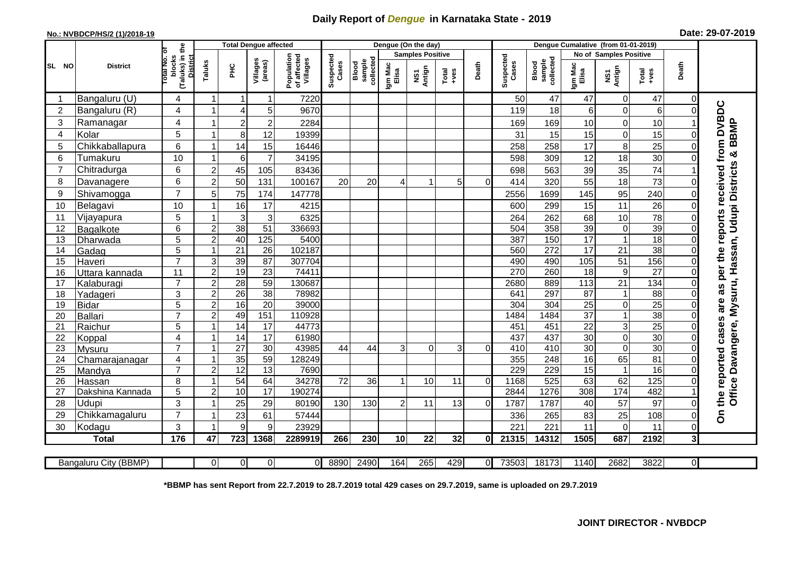## **Daily Report of** *Dengue* **in Karnataka State - 2019**

## **No.: NVBDCP/HS/2 (1)/2018-19 Date: 29-07-2019**

|                |                       |                                                             |                |                 | <b>Total Dengue affected</b> |                                       |                    |                              | Dengue (On the day)     |              |                  |              |                    |                                     |                        |                  |                 |                |                                                          |
|----------------|-----------------------|-------------------------------------------------------------|----------------|-----------------|------------------------------|---------------------------------------|--------------------|------------------------------|-------------------------|--------------|------------------|--------------|--------------------|-------------------------------------|------------------------|------------------|-----------------|----------------|----------------------------------------------------------|
|                | <b>District</b>       |                                                             |                |                 |                              |                                       |                    |                              | <b>Samples Positive</b> |              |                  |              |                    |                                     | No of Samples Positive |                  |                 |                |                                                          |
| SL NO          |                       | (Taluks) in the<br>otal No. of<br>blocks<br><b>District</b> | Taluks         | ĔС              | Villages<br>(areas)          | Population<br>of affected<br>Villages | Suspected<br>Cases | collected<br>sample<br>Blood | Igm Mac<br>Elisa        | Antign<br>ŠΣ | $Tota$<br>$+ves$ | Death        | Suspected<br>Cases | collected<br><b>Blood</b><br>sample | Igm Mac<br>Elisa       | NS1<br>Antign    | Total<br>+ves   | Death          |                                                          |
| -1             | Bangaluru (U)         | 4                                                           | 1              | Ľ               | -1                           | 7220                                  |                    |                              |                         |              |                  |              | 50                 | 47                                  | 47                     | 0                | 47              | $\Omega$       |                                                          |
| $\overline{2}$ | Bangaluru (R)         | $\overline{\mathbf{4}}$                                     |                | 4               | 5                            | 9670                                  |                    |                              |                         |              |                  |              | 119                | 18                                  | 6                      | $\mathbf 0$      | 6               | $\Omega$       |                                                          |
| 3              | Ramanagar             | 4                                                           |                | 2               | $\overline{2}$               | 2284                                  |                    |                              |                         |              |                  |              | 169                | 169                                 | 10                     | 0                | 10              |                | per the reports received from DVBDC                      |
| 4              | Kolar                 | 5                                                           |                | 8               | 12                           | 19399                                 |                    |                              |                         |              |                  |              | 31                 | 15                                  | 15                     | $\mathbf 0$      | 15              |                |                                                          |
| 5              | Chikkaballapura       | 6                                                           |                | 14              | 15                           | 16446                                 |                    |                              |                         |              |                  |              | 258                | 258                                 | 17                     | 8                | 25              | $\Omega$       |                                                          |
| 6              | Tumakuru              | 10                                                          |                | 6               | $\overline{7}$               | 34195                                 |                    |                              |                         |              |                  |              | 598                | 309                                 | 12                     | 18               | 30              | $\Omega$       |                                                          |
| $\overline{7}$ | Chitradurga           | 6                                                           | $\overline{2}$ | 45              | 105                          | 83436                                 |                    |                              |                         |              |                  |              | 698                | 563                                 | 39                     | 35               | $\overline{74}$ |                |                                                          |
| 8              | Davanagere            | 6                                                           | $\overline{2}$ | 50              | 131                          | 100167                                | 20                 | 20                           | 4                       |              | 5                | $\Omega$     | 414                | 320                                 | 55                     | 18               | $\overline{73}$ | $\Omega$       |                                                          |
| 9              | Shivamogga            | $\overline{7}$                                              | 5              | 75              | 174                          | 147778                                |                    |                              |                         |              |                  |              | 2556               | 1699                                | 145                    | 95               | 240             |                | Office Davangere, Mysuru, Hassan, Udupi Districts & BBMP |
| 10             | Belagavi              | 10                                                          |                | 16              | 17                           | 4215                                  |                    |                              |                         |              |                  |              | 600                | 299                                 | 15                     | 11               | 26              |                |                                                          |
| 11             | Vijayapura            | 5                                                           |                | 3               | 3                            | 6325                                  |                    |                              |                         |              |                  |              | 264                | 262                                 | 68                     | 10               | 78              | 0              |                                                          |
| 12             | Bagalkote             | 6                                                           | $\overline{2}$ | $\overline{38}$ | $\overline{51}$              | 336693                                |                    |                              |                         |              |                  |              | 504                | 358                                 | 39                     | $\mathbf 0$      | 39              | $\Omega$       |                                                          |
| 13             | Dharwada              | $\overline{5}$                                              | $\overline{2}$ | 40              | 125                          | 5400                                  |                    |                              |                         |              |                  |              | 387                | 150                                 | 17                     | $\mathbf{1}$     | 18              | $\Omega$       |                                                          |
| 14             | Gadag                 | $\overline{5}$                                              |                | 21              | 26                           | 102187                                |                    |                              |                         |              |                  |              | 560                | $\overline{272}$                    | $\overline{17}$        | $\overline{21}$  | $\overline{38}$ | $\Omega$       |                                                          |
| 15             | Haveri                | $\overline{7}$                                              | $\overline{3}$ | 39              | $\overline{87}$              | 307704                                |                    |                              |                         |              |                  |              | 490                | 490                                 | $\frac{105}{2}$        | 51               | 156             | $\Omega$       |                                                          |
| 16             | Uttara kannada        | 11                                                          | $\overline{c}$ | 19              | 23                           | 74411                                 |                    |                              |                         |              |                  |              | 270                | 260                                 | 18                     | $\boldsymbol{9}$ | 27              | $\Omega$       |                                                          |
| 17             | Kalaburagi            | $\overline{7}$                                              | $\overline{2}$ | $\overline{28}$ | $\overline{59}$              | 130687                                |                    |                              |                         |              |                  |              | 2680               | 889                                 | $\frac{113}{113}$      | $\overline{21}$  | 134             | $\Omega$       | as                                                       |
| 18             | Yadageri              | 3                                                           | $\overline{2}$ | 26              | 38                           | 78982                                 |                    |                              |                         |              |                  |              | 641                | 297                                 | 87                     | -1               | 88              | $\Omega$       |                                                          |
| 19             | <b>Bidar</b>          | 5                                                           | $\overline{2}$ | 16              | $\overline{20}$              | 39000                                 |                    |                              |                         |              |                  |              | 304                | $\overline{304}$                    | $\overline{25}$        | $\mathsf 0$      | $\overline{25}$ | $\Omega$       | are                                                      |
| 20             | <b>Ballari</b>        | $\overline{7}$                                              | $\overline{c}$ | 49              | 151                          | 110928                                |                    |                              |                         |              |                  |              | 1484               | 1484                                | $\overline{37}$        | $\mathbf{1}$     | 38              | $\Omega$       |                                                          |
| 21             | Raichur               | 5                                                           |                | 14              | 17                           | 44773                                 |                    |                              |                         |              |                  |              | 451                | 451                                 | $\overline{22}$        | $\mathbf{3}$     | $\overline{25}$ |                | cases                                                    |
| 22             | Koppal                | $\overline{\mathbf{4}}$                                     |                | 14              | $\overline{17}$              | 61980                                 |                    |                              |                         |              |                  |              | 437                | 437                                 | 30                     | $\mathbf 0$      | 30              | $\Omega$       |                                                          |
| 23             | <b>Mysuru</b>         | $\overline{7}$                                              |                | 27              | $\overline{30}$              | 43985                                 | 44                 | 44                           | 3                       | 0            | 3                | $\Omega$     | 410                | 410                                 | 30                     | $\mathbf 0$      | 30              | $\Omega$       |                                                          |
| 24             | Chamarajanagar        | $\overline{\mathbf{4}}$                                     |                | $\overline{35}$ | 59                           | 128249                                |                    |                              |                         |              |                  |              | 355                | 248                                 | 16                     | 65               | 81              | $\Omega$       |                                                          |
| 25             | Mandya                | $\overline{7}$                                              | $\overline{2}$ | 12              | 13                           | 7690                                  |                    |                              |                         |              |                  |              | 229                | 229                                 | 15                     | $\mathbf{1}$     | 16              | $\Omega$       |                                                          |
| 26             | Hassan                | 8                                                           |                | 54              | 64<br>$\overline{17}$        | 34278<br>190274                       | 72                 | 36                           | 1                       | 10           | 11               | $\Omega$     | 1168<br>2844       | $\overline{525}$                    | 63                     | 62<br>174        | 125<br>482      | $\Omega$       |                                                          |
| 27             | Dakshina Kannada      | 5                                                           | $\overline{2}$ | 10              |                              |                                       |                    |                              |                         |              |                  |              |                    | 1276                                | 308                    |                  |                 |                | the reported                                             |
| 28             | Udupi                 | 3<br>$\overline{7}$                                         |                | 25              | 29                           | 80190                                 | 130                | 130                          | 2                       | 11           | 13               | $\Omega$     | 1787               | 1787                                | 40                     | 57               | 97              |                |                                                          |
| 29             | Chikkamagaluru        | 3                                                           |                | 23              | 61                           | 57444<br>23929                        |                    |                              |                         |              |                  |              | 336<br>221         | 265<br>221                          | 83                     | 25               | 108             | $\Omega$       | င်္                                                      |
| 30             | Kodagu                |                                                             |                | 9               | 9                            |                                       |                    |                              |                         |              |                  |              |                    |                                     | 11                     | 0                | 11              | $\Omega$       |                                                          |
|                | <b>Total</b>          | 176                                                         | 47             | 723             | 1368                         | 2289919                               | 266                | 230                          | 10                      | 22           | 32               | $\mathbf{0}$ | 21315              | 14312                               | 1505                   | 687              | 2192            | 3 <sup>l</sup> |                                                          |
|                | Bangaluru City (BBMP) |                                                             | $\overline{0}$ | $\overline{0}$  | $\overline{0}$               | $\Omega$                              | 8890               | 2490                         | 164                     | 265          | 429              | $\Omega$     | 73503              | 18173                               | 1140                   | 2682             | 3822            | $\overline{0}$ |                                                          |

**\*BBMP has sent Report from 22.7.2019 to 28.7.2019 total 429 cases on 29.7.2019, same is uploaded on 29.7.2019**